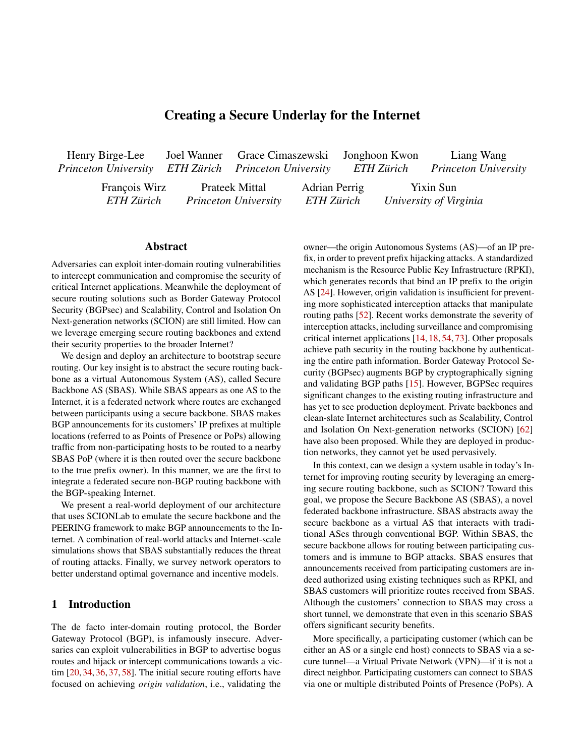## Creating a Secure Underlay for the Internet

| Henry Birge-Lee                                      | Joel Wanner Grace Cimaszewski Jonghoon Kwon |                             |               |            | Liang Wang                  |
|------------------------------------------------------|---------------------------------------------|-----------------------------|---------------|------------|-----------------------------|
| Princeton University ETH Zürich Princeton University |                                             |                             |               | ETH Zürich | <b>Princeton University</b> |
| François Wirz                                        |                                             | Prateek Mittal              | Adrian Perrig |            | Yixin Sun                   |
| ETH Zürich                                           |                                             | <b>Princeton University</b> | ETH Zürich    |            | University of Virginia      |

#### Abstract

Adversaries can exploit inter-domain routing vulnerabilities to intercept communication and compromise the security of critical Internet applications. Meanwhile the deployment of secure routing solutions such as Border Gateway Protocol Security (BGPsec) and Scalability, Control and Isolation On Next-generation networks (SCION) are still limited. How can we leverage emerging secure routing backbones and extend their security properties to the broader Internet?

We design and deploy an architecture to bootstrap secure routing. Our key insight is to abstract the secure routing backbone as a virtual Autonomous System (AS), called Secure Backbone AS (SBAS). While SBAS appears as one AS to the Internet, it is a federated network where routes are exchanged between participants using a secure backbone. SBAS makes BGP announcements for its customers' IP prefixes at multiple locations (referred to as Points of Presence or PoPs) allowing traffic from non-participating hosts to be routed to a nearby SBAS PoP (where it is then routed over the secure backbone to the true prefix owner). In this manner, we are the first to integrate a federated secure non-BGP routing backbone with the BGP-speaking Internet.

We present a real-world deployment of our architecture that uses SCIONLab to emulate the secure backbone and the PEERING framework to make BGP announcements to the Internet. A combination of real-world attacks and Internet-scale simulations shows that SBAS substantially reduces the threat of routing attacks. Finally, we survey network operators to better understand optimal governance and incentive models.

#### 1 Introduction

The de facto inter-domain routing protocol, the Border Gateway Protocol (BGP), is infamously insecure. Adversaries can exploit vulnerabilities in BGP to advertise bogus routes and hijack or intercept communications towards a victim [20, 34, 36, 37, 58]. The initial secure routing efforts have focused on achieving *origin validation*, i.e., validating the

owner—the origin Autonomous Systems (AS)—of an IP prefix, in order to prevent prefix hijacking attacks. A standardized mechanism is the Resource Public Key Infrastructure (RPKI), which generates records that bind an IP prefix to the origin AS [24]. However, origin validation is insufficient for preventing more sophisticated interception attacks that manipulate routing paths [52]. Recent works demonstrate the severity of interception attacks, including surveillance and compromising critical internet applications [14, 18, 54, 73]. Other proposals achieve path security in the routing backbone by authenticating the entire path information. Border Gateway Protocol Security (BGPsec) augments BGP by cryptographically signing and validating BGP paths [15]. However, BGPSec requires significant changes to the existing routing infrastructure and has yet to see production deployment. Private backbones and clean-slate Internet architectures such as Scalability, Control and Isolation On Next-generation networks (SCION) [62] have also been proposed. While they are deployed in production networks, they cannot yet be used pervasively.

In this context, can we design a system usable in today's Internet for improving routing security by leveraging an emerging secure routing backbone, such as SCION? Toward this goal, we propose the Secure Backbone AS (SBAS), a novel federated backbone infrastructure. SBAS abstracts away the secure backbone as a virtual AS that interacts with traditional ASes through conventional BGP. Within SBAS, the secure backbone allows for routing between participating customers and is immune to BGP attacks. SBAS ensures that announcements received from participating customers are indeed authorized using existing techniques such as RPKI, and SBAS customers will prioritize routes received from SBAS. Although the customers' connection to SBAS may cross a short tunnel, we demonstrate that even in this scenario SBAS offers significant security benefits.

More specifically, a participating customer (which can be either an AS or a single end host) connects to SBAS via a secure tunnel—a Virtual Private Network (VPN)—if it is not a direct neighbor. Participating customers can connect to SBAS via one or multiple distributed Points of Presence (PoPs). A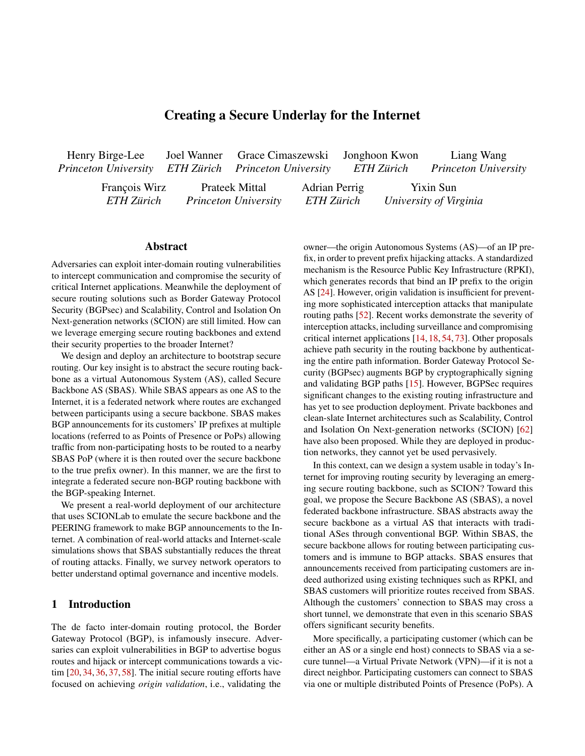customer can bring its own pre x to announce through SBAS 2 Overview of Interdomain Routing Security (e.g., an AS with its own address space), or use IP pre-xes

assigned by SBAS (e.g., individual clients and servers with-BGP and BGP attacks.BGP is the inter-domain routing proout control over their address space). Within SBAS, customer tocol today. However, BGP lacks authentication of routing address space is distributed via an SBAS-internal iBGP mesh information, which allows for BGP attacks where an adverbetween the PoPs allowing PoPs to announce customer presary maliciously sends BGP updates to hijack or intercept xes to traditional BGP neighbors (providing connectivity traf c to a victim AS [72]. Research shows that BGP attacks and improved security for non-participating hosts). We em-can have devastating consequences on critical Internet apphasize that SBAS is compatible with conventional BGP. This plications, including those that use cryptographic security enables SBAS to route traf c between SBAS customers and mechanisms [18,54,73]. Also, BGP attacks are routinely seen non-participating ASes,providing security bene ts even when in the wild, impacting availability of Internet services and one communication endpoint does not participate in SBAS. generating millions in revenue for miscreants [23,37,75].

We have implemented and deployed SBAS on real net- In equally-speci cBGP attacks, the adversary makes a works using SCIONLab [47] to emulate a secure SCION malicious BGP announcement for a victim's pre x that has backbone, the PEERING framework [69] to send/receive BGP the same pre x length as the victim's pre x. Consequently, announcements from non-participating ASes, and the Wire-traf c may reach either the adversary or the victim depending Guard VPN to establish secure tunnels with SBAS customers.on the routing polices. Immore-speci cBGP attacks, the Our implementation minimizes the need for new software adversary announces a longer pre x than the victim's pre x. and composes existing networking components to implement Because forwarding is based on longest pre-x match, traf-c SBAS routing. Our key evaluation results are as follows: destined for the more speci c pre x will be routed to the

> adversary. This enables an adversary from almost any location in the Internet to attract a signi-cant amount of network trafic

routers Iter BGP announcements for pre xes longer than

attacks), and RPKI can also be used to Iter malicious more-

The adversary may drop/respond to the trafhigack attack) or forward the traf c back to the victim (terception attack) via tunneling or existing BGP paths by deliberately shaping the malicious BGP announcements [20,64]. Interception attacks are more sophisticated but also stealthier because the victim may see little to no difference (other than poten-

tially increased latency) in its data plane traf c.

speci c pre x announcements [24].

- In our proof-of-concept deployment using SCIONLab and PEERING, we perform BGP attacks on IP pre xes of SBAS customers and of the VPN endpoints (in an ethi- destined to the victim. While more-speci c BGP attacks are cal manner). SBAS successfully protects all customer-to-highly effective, they are not always viable given that most customer communication from our attacks and signi-cantly improves the resilience of communication between SBAS = 24 [5, 40] (thus protecting 24 pre xes from more-speci c customers and non-participating hosts.
- Our Internet topology simulations further con rm that SBAS improves resilience to routing attacks on communication with non-participatingInternet hosts. Using a SBAS deployment with just six PoPs improves resilience by 61.8%. Furthermore, SBAS integrates well with the existing effort on Route Origin Validation (ROV): if the broader Internet enforces ROV, 98.5% of adversaries are topologically incapable of hijacking SBAS-announced routes.
- Our proof-of-concept deployment only incurs an 11% la- RPKI mitigates BGP attacks by providing a cryptographitency overhead on average (compared to the Internet) cally secure database of IP address ownership that can be which decreases as more SBAS PoPs are deployed (assed to lter out bogus announcements [49]. In RPKI, each participants are closer to their nearest PoP). Current Secure Routing: RPKI and route Itering. AS has a public–private key pair that is used to sign IP Route

An important bene t of the SBAS architecture is its com- Origin Authorizations (ROAs) that associate IP pre xes with patibility with diverse secure (possibly non-BGP) backbone the ASes of their authorized origin ASes. The ASes compile approaches [15,62]. Moreover, given its strong security ben-the databases into a set of route Iters which block announcee ts with only a small latency overhead, SBAS represents a ments that do not contain a validP address, originpair. promising new abstraction for securing inter-domain routing However, RPKI is vulnerable to forged origin attacks. In this that can provide much needed momentum and accelerate realype of attack, the adversary claims a non-existent link to the world adoption of secure backbones. To better understand thevictim in a malicious BGP update. Since RPKI only validates path towards a production deployment of SBAS, we surveyed the origin of the IP pre x in a BGP update, the malicious network operators on appropriate incentives and governanceupdate will propagate even in the presence of ROV. structures, and found a potential community of early adopters An AS can implement route lters on neighbors' BGP as well as viable governance models. Given the promising announcements to allow announcements only from approved experimental and simulation results of our proof-of-concept IP pre xes or AS paths [53,71]. However, strict pre x-based SBAS implementation, we dare the community of network route Itering is dif cult to scale to peer-to-peer links and operators to realize SBAS in a production environment. larger networks with a substantial number of IP pre xes; AS-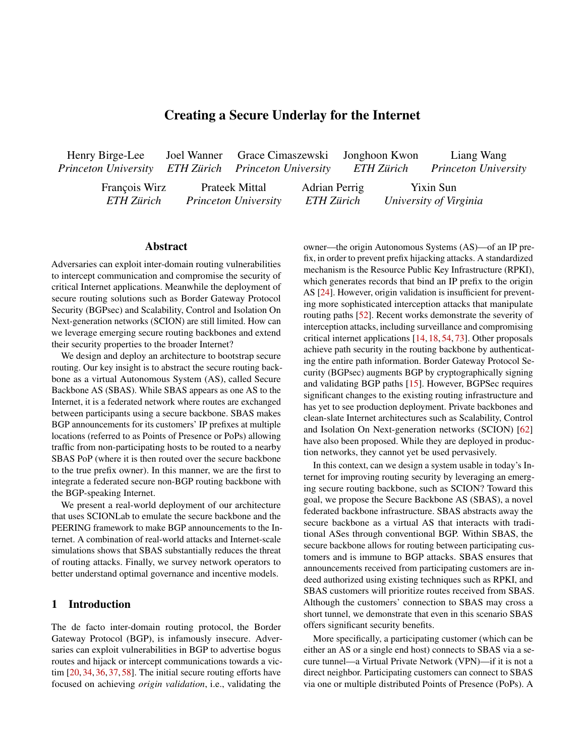path Itering cannot prevent an adversary from announcing a available for customers who want to use the system, requiring malicious pre-x with a legitimate-looking AS path. minimum changes in setup, and more importantly, (3) readily

Secure Internet backbone candidates.A wide variety of secure Internet routing technologies can be used as a securthe architecture. Considering incremental deployability, we backbone, ranging from BGP extensions to entirely new In-aim to leverage an already-deployed secure routing infrasternet architectures [26,42,43,46,50,56,57,62,77,78,80,81]tructure (as a secure backbone) to mediate communication Due to space limitations, only a few approaches are discussedetween traditional IP endpoints. This extends the bene ts of below, but a more comprehensive overview of secure routing the secure backbone to the broader Internet, and kick-starts architectures is also available [25,55,66]. bene cial to the customer even with a partial deployment of routing security for Internet communication. We call this sys-

Federated backbone & GPsec offers the properties re- tem SBAS, the Secure Backbone AS. It is important to note quired for a secure backbone by augmenting BGP to provide that SBAS does not compete with any other secure routing cryptographic veri cation of routes in the control plane [15]. methods; SBAS can bene t from them since it is a comple-BGPsec requires each AS to sign outbound BGP announcementary system, improving security in a synergistic manner. ments, thus allowing ASes along the path to verify the au-From this approach, the following research challenges arise: thenticity of the announcement. BGPsec not only prevents Architectural continuity. Coupling of a secure routing in-ASes from falsely originating pre xes that were not allocated frastructure and the rest of the Internet requires architectural to them, but also prevents ASes from claiming fake adjacen-continuity. That is, the secure backbone understands BGP's cies. Several shortcomings hampered wide-spread BGPsecontrol plane and seamlessly bridges remote BGP peers while deployment so far, e.g., scalability issues, slow convergence, eaving the leveraged secure routing infrastructure and its high overhead for update veri cation, and vulnerabilities that security guarantees intact. To this end, the secure backbone remain unaddressed. must achieve an architectural abstraction of the underlying in-

New Internet architectures can also be used for constructingfrastructure and provide a transparent interface to customers. a federated backbone, such as NEBULA [8], NIRA [82], and SCION [62, 84]. Speci cally, SCION has been suggested tomer's IP endpoints via a secure backbone, the end-to-end as a clean-slate Internet architecture to provide secure intercommunication path can be segmented into: an external (indomain routing. SCION provides strong security properties: secure) segment, which is comprised of the Internet links bein-network per-packet source authentication, sovereignty andtween an IP endpoint and the SBAS ingress/egress point, and transparency for trust roots, and attack resilience for inter-an internal segment between an arbitrary ingress and egress domain routing. Of these architectures, SCION is available pair of the secure routing infrastructure. To ensure end-to-end today as a production network from several ISPs. End-to-end security. In the context of mediating cussecure routing, (1) a customer must be able to select trusted

Private backbone Several corporations have developed ingress/egress points and securely exchange packets with hiproprietary private backbones that allow for secure data de-jack resilience, and (2) the secure backbone must deliver the livery, e.g., AWS and Cloud are Argo [17, 27]. While not federated, some of these backbones allow for participants to points even in the presence of internal adversaries. connect via VPN tunnels and even announce their own ad- Routing priority. To enable customers to route traf c dress space. While these commercial offerings are promising, from/to the Internet through a secure backbone, SBAS needs they are challenging to scale as the competing providers doto disseminate the customers' pre x announcements to all not seem to move towards a federated offering. security properties it promised to any pair of ingress/egress other customers and external entities. Pre xes will then be

## 3 Design Principles

### 3.1 Goals and Challenges

We seek to design a secure routing architecture that provides to the Internethigh resilience against BGP hijacking at-

tacks. However, our intention is not to introduce another

secure routing protocol. Although secure routing protocols Adversary types.SBAS considers two distinct types of adprovide clear advantages over the currently used BGP, theyversaries. The rst type is an external adversary, who controls have so far only achieved partial adoption. The main obstacle an AS on the Internet and is able to make arbitrary BGP to large-scale adoption is that a participating entity requires a announcements. The adversary performs BGP attacks to hisizable nancial investment while gaining limited bene ts at yack or intercept the traf c originated from or destined to the early stage of deployment. To overcome this, the architec-customers, which enables more sophisticated attacks such as ture has to be: (1) readily deployable without modi cations domain validation attacks [18] and traf c analysis [73]. The to existing Internet infrastructure and protocols, (2) readily second type is an internal adversary, who may compromise

## 3.2 Threat Model

backbone over the insecure Internet paths.

announced via SBAS and the Internet, resulting in competing announcements. To maximize the ability to route securely, SBAS must be able to convince the entities receiving the announcements to prioritize routing paths through the secure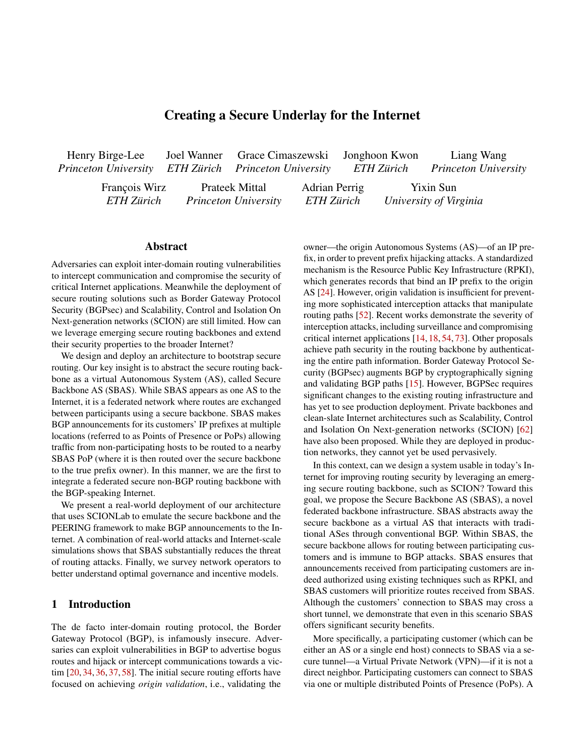#### Figure 1: SBAS Overview

entities with various roles in SBAS, attempting to disrupt connectivity to legitimate customers. We also allow the two types of adversaries to collude. Attacks that do not target rout-customers and interfaces with the regular Internet. ing (e.g., exploiting implementation vulnerabilities, or DDoS attacks) are considered out of scope.

BGP attack types.The primary threat that SBAS aims to defend against is equally-speci c pre x attacks. This is justi ed since all pre xes controlled by SBAS are announced as 24-bit pre-xes (or 48-bit IPv6 pre-xes), which can only be attacked via equally-speci c pre x attacks (recall that pre x announcements longer than 24 bits in IPv4 and 48 bits in IPv6 are typically Itered). Even though the primary threat we considered is equally-speci c pre x attacks, we show that communication between two SBAS customers bene-ts from increased resilience even in the presence of more-speci c<sup>via BGP</sup>. pre x attacks. We demonstrate this property in Section 7.1.

## 4 Design of SBAS

enables the system to extend the bene ts of the secure federated backbone to the broader internet, while addressing the challenge of partial deployment incentives that are limiting the practical use of such approaches.

SBAS distinguishes between the following roles:

Customer.A customer is an entity that resides outside the backbone and obtains service from SBAS through a contract, which enables it to route traf c securely through the system. SBAS supports both (1) customers that only control single hosts (e.g., server operators or end users), and (2) entities that own entire address ranges and AS numbers.

Point of Presence (PoP)A PoP is a member of SBAS that is located at the edge, i.e., provides connectivity to SBAS

Backbone operator.Such entities participate in the backbone network, but are not located at the edge; they simply participate in the internal routing and forwarding. This type of member does not need to be aware of the SBAS infrastructure running on top of the backbone.

External entity. This term refers to entities on the Internet that are unaware of SBAS.

SBAS distinguishes among three address categories:

Secure. This includes pre xes announced by SBAS customers and SBAS-owned address ranges, which are assigned to customers. Secure address ranges are announced publicly

Internal. To provide an internal addressing scheme among PoPs, e.g., to set up iBGP sessions between PoP routers, the PoPs reserve address space for SBAS internal operation. This address space is not visible outside the SBAS infrastructure.

This section describes the control plane, data plane, and operational aspects in the design of SBAS. Global. We use this term to refer to all globally routable addresses to which the categories above do not apply.

## 4.1 SBAS Overview

## 4.2 The SBAS Abstraction

SBAS is an abstraction that enables a federated backbondoward the Internet, SBAS is abstracted as a single AS maknetwork to act as a single AS toward the outside Internet. As ing BGP announcements. The de-ning characteristic of the shown in Figure 1, customers of the system can connect viasystem is that it employs a federated structure internally: varsecure connections (e.g., VPN tunnels) to one or more PoPsious entities may participate by connecting to the backbone which are located at the edge of SBAS. The system supportsnetwork, which runs a secure inter-domain routing protocol. both (1) customers that control their own address pre xes to Compared to offering secure routing through a tier-1 ISP be routed via SBAS, and (2) customers that operate smalleror IXP that allows any customers to connect via a secure network domains. The latter can simply obtain addresses channel (e.g., VPN or direct physical link), SBAS's federated from an SBAS-owned address range. Internally, the PoPsstructure and abstraction provide the following bene ts: (1) form a full-mesh BGP topology over the internal routing federation lowers the potential for centralization of the Interprotocol of the backbone, which is used to distribute customer net and surveillance of traf-c at the hyper-connected single announcements to the globally distributed PoPs and to achieve node, (2) incremental deployability by allowing other ASes maximum security for traf c to secured pre xes. SBAS is to participate, and (3) an expanding SBAS network results in fully compatible with conventional BGP security practices a reduction of the hop distance to customers which increases and internally performs validation checks to ensure that only resilience to routing attacks.

legitimate announcements are redistributed by the system. Virtualized full-mesh iBGP. The internal structure of SBAS Moreover, the secure routing protocol used internally, along can be abstracted to a full-mesh topology between the PoPs, with additional security mechanisms, ensure that the redistri-independent of the routing protocol of the backbone. Over bution scheme tolerates misbehaving SBAS members. Thisthese connections, the PoPs redistribute announcements from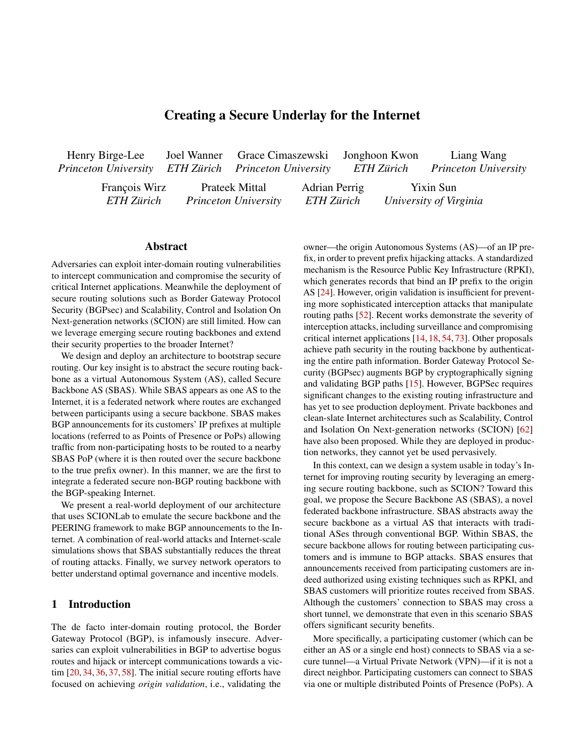Figure 2: The route redistribution process for a preXx owned by customer AS. The pre x is being announced in parallel through SBAS and to neighbors Aof

prevent sophisticated routing attacks, SBAS additionally veri es that the AS path of these announcements does not contain any ASNs other than that of the origin (but still allowing for customer traf c engineering using path pre-pending).

An example of the second type of threat would  $\beta$  ein Figure  $2$ ) forwarding the announcement received fram an attempt to attract traf c t<sup>o</sup>. To prevent such malicious behavior, a customer can use RPKI to authenticate a single or multiple PoPs that are authorized to re-distribute a given pre x. This approach is similar tpath-end validation[28], but in this case, it can be used purely by SBAS members and customers without requiring any external deployment. SBAS-only pre x. Using an SBAS-de ned BGP community tag, the customer can instruct the PoPs to only redistribute the

announcement internally, i.e., to connected customers. This<br>SBAS customers as well as the Internet, akin to the operation operation full pretection of an address range agginat hijogking of iBGP in a regular AS. In order to prevent tampering by or identify a regular AD. In order to prevent tampering by attacks, since secure pre-<br>non-PoP members, the iBGP sessions run over an encrypted combers and austamers and authenticated connection (such as a VPN tunnel). enables full protection of an address range against hijacking attacks, since secure pre xes are always prioritized by SBAS members and customers (as described in Section 4.5).

### 4.3 Secure Route Redistribution

SBAS offers a high degree of exibility to its customers security aspects of the route redistribution mechanism. Federated bring-your-own IP pre x. Customers that already control one or multiple IP pre xes can use them directly SBAS connection setupA customer can connect to SBAS with SBAS. For this purpose, SBAS implements a route redis-by connecting to one or multiple PoPs. A customer looking to process is depicted in Figure  $2$ : the customer  $(A)$  Shitiates a BGP session with the PoP (AS) over a VPN connection. Using this session, makes an announcement for its prexy iBGP topology. A remote PoP such as upon receiving such

an announcement over the iBGP session With Sends it out to its eBGP neighbors, i.e., Internet peers as well as SBAS point, with the others serving as backups for improved failure customers.

Enhanced RPKI-based security.The RPKI system provides strong security properties for the rst hop of BGP adver- non-secure address. A customer may wish to designate a part tisements, but does not protect subsequent hops. The desig**o**f its address range to be routed via SBAS (advertised via of SBAS complements this property, as it eliminates attack SBAS), and separate this from their remaining address space surfaces on the path through its secure backbone. SBAS lever(advertised normally on the Internet).

ages RPKI to defend against two distinct threats: (1) cus-Secure address assignmenEor customers that do not contomers advertising pre xes that they do not own, and (2) PoPs trol an address space, SBAS can offer a (paid) feature to falsely claiming authorization for a pre x from a customer. assign single addresses from a secure SBAS-owned pre x.

The rst threat is prevented in SBAS using route validation This option is con gured via SBAS client software. Upon at the ingress. Each announcement from a customer musassigning such an address to a customer, the PoP announces it carry a valid ROA that authorizes the AS to originate the to the other PoPs over the existing iBGP sessions. This allows pre x, which is veri ed both at the ingress PoP and by the them to route traf c to the appropriate location and keep track other PoPs that receive the redistributed announcement. Toof addresses that have already been assigned.

#### 4.4 Customer Perspective

through support for dynamic route redistribution. Contrary interface (e.g., SBAS portal) by setting up a contract at their to a traditional AS, which is controlled by a single entity, the local PoP (details on governance aspects are given in Secredistribution scheme to be used in SBAS must support its tion 8.2). The connection to SBAS is managed by a client federated structure and remain secure in the presence of malisoftware that receives information about existing PoPs, incious members. In the following, we describe the design and cluding publicly reachable IP addresses and a VPN public key Service managementCustomers sign up for SBAS via an for each PoP. SBAS can suggest a default SBAS PoP based on a network proximity metric.

tribution mechanism that enables a customer to route incom-maximize resilience to BGP attacks should generally prioriing traf c from the Internet through the secure backbone. The tize the PoP that is the fewest BGP hops away. The connection which is then redistributed to all other PoPs over the full-mesh the possibility of any BGP attack on the connection, as a local to a PoP is set up over a VPN tunnel with the PoP's keypair, or where possible, the customer can connect directly at the PoP. The latter case has the additional bene t of eliminating layer-2 connection can be used. If the customer uses multiple PoPs, one connection is designated as the primary ingress

resilience. In order to prevent routing loops, the VPN endpoint that is used to connect to the SBAS PoP must be assigned a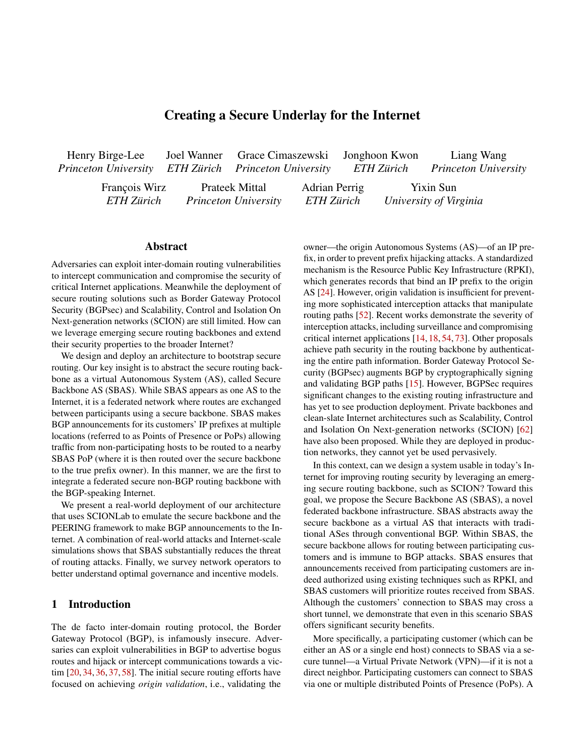Figure 3: Control-plane con guration  $dP_1$ . nexthop(X) refers to the address used as the next hop  $\mathsf{t}\&\mathsf{AS}$ 

### 4.5 Routing Logic at PoPs

The following sections describe how an SBAS PoP maintains routing information for the different types of addresses, and how packets are forwarded accordingly.

Control plane: Virtualized iBGP. As shown in Figure 3, the backbone network, as well as eBGP sessions to customers potenties for the same experience. Henny received a<br>and lateract neare. From the information received aver these announcement from 3 for the secure pre-x that con and Internet peers. From the information received over these as S<sup>o</sup>will forward the packet to the nearest SBAS PoP. From sessions, two routing tables are constructed: The rst table, this point, the same logic is applied as in the previous case. which is given the highest priority, maps secure addresses to which is given the highest phonty, maps secure addresses to External destination(H<sub>D</sub> ! Sternal addresses. Each entry may be either a remote custing addresses the routing another PoP (in the example,  $0.0/24$  to  $P_2$ ), or a local customer pre-x that can be delivered to the customer's VPN endpoint  $\ell$ .0.0.1/32 to nexthop(D)). The advertisements for enupoint e.o.o. i/32 to hexthop(D)). The adventsements for appress PoP. This makes it possible to optimize for different<br>such routes are received over the iBGP session from other notries such as hijnek resilience, which ca PoPs (in the former case) or over the eBGP session from routing based on shortest AS path length, combined with hicustomers (in the latter case).

As a lower-priority table  $P_1$  maintains an Internet rout-As a lower-priority table  $F_1$  mail table in the flood-change in the AS origin of an IP pre-<br>ing table for routes obtained from its Internet peers. These be avoided for trafic to this IP pre x i routes will likely also be received via iBGP from other PoPs distributing pre xes they received from their respective neighbors. In this case, route selection can follow standard Internet policies or custom logic implemented **By**.

Data plane: Secure address prioritization. Next, we de-

By keeping a strict priority hierarchy between secure routes and external routes, SBAS provides resilience to BGP hijacking attacks by design. The detailed security properties 5 achieved by this design are explored in Section 7.1.

Customer-to-custom $(H_S! H_D)$  In the simplest case, a packet originates from a secure addressin a customer AS Sand is destined to another secure address The packet from  $H<sub>S</sub>$  is routed through the VPN tunnel to the ingress PoP P<sub>2</sub>. There, P<sub>2</sub> looks up the secure address and nds the internal address for the egress **P**ePassociated with it. The protocol toP2, which delivers it across the VPN tunnel to the destination in ASD.

Figure 4: Routing logic for incoming traf c to a customer D who owns a secure address range. The packet shown is sent from a secure address and encapsulated across SBAS using the internal addresses for the  $\mathsf{P}\mathsf{B} \mathsf{P}$  and  $\mathsf{P}_2$ , before it is delivered to the secure address. Packets may also originate from global addresses such as from SAS

each PoP maintains several iBGP sessions to other PoPs over the contribution of the same sequence: Having received a BGP tomer pre-x that is mapped to an internal address representing through the choice of the egress PoP. Whereas in the previous External origin  $(S^0!$  H<sub>D</sub>) We consider a packet that is destined to the secure address but originates from a source in AS  $S^0$ that is unaware of SBAS. In this case, the data plane  $9$  For traf c with global destination addresses, the routing decision offers more options cases, the traf c was directed to the destination's preferred PoP, the decision to select an egress location is up to the metrics such as hijack resilience, which can be achieved by

> jack detection. For instance, if an egress point notices a recent change in the AS origin of an IP pre  $x$ , this egress point may be avoided for traf c to this IP pre x until the origin change can be validated. This approach further improves the system's resilience to external BGP hijacking attacks.

scribe data-plane forwarding decisions for different scenarios net. Using a strict priority hierarchy on the control plane, trafof source and destination locations, as illustrated in Figure 4. c to/from customers bene ts from strong hijack resilience. Through a number of key design principles and by leveraging the secure backbone for internal routing, SBAS is able to disseminate routes securely to customers and out to the Inter-

## Implementation and Deployment

original packet is encapsulated over the backbone's internalresearch network SCIONLab. The SBAS system is comprised We have implemented the SBAS design and deployed it on a globally distributed infrastructure. A key feature of our implementation is that it minimizes the need for new software and composes existing networking components in a synergistic manner. Driven by this, we implement the prototype of the SBAS system on top of the globally distributed future Internet of four PoPs, two PEERING announcement nodes, and three customer locations (Appendix  $B$  presents the deployment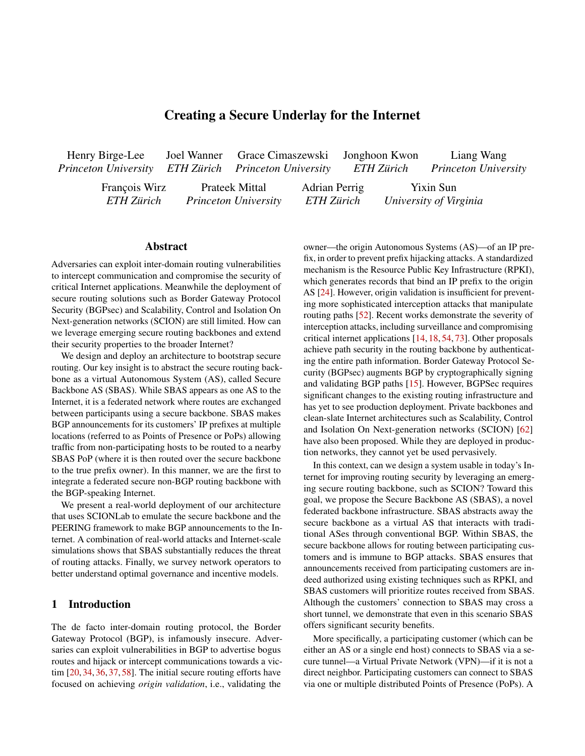Figure 5: The interfaces (shown in lled rectangles) and BGP sessions (solid lines) maintained by an SBAS PoP.

map). Our SBAS implementation running on the PoP consists <sub>the SBAS routing engine can be extended to consider which</sub> of approximately1000lines of code. The software automatically con gures and runs the various PoP components basedadvanced route selection models such as carbon-emissionon con guration les that describe the setup of the SBAS instance. The full source code is publicly available. Packet handling. Communications inside SCION (e.g.,

Instantiating SBAS with SCION. We employ SCION as the secure internal routing architecture of SBAS for several addressing. In SBAS, we encapsulate a SCION packet into reasons: (1) SCION already provides a strong PKI systeman IP packet, using Generic Routing Encapsulation [39], and by design, which is essential for the core SBAS properties maintain astatictable at the SIG that contains a single entry such as secure route redistribution, heterogeneous trust foper PoP, mapping its internal IP address to its SCION address. the federated participants, and cryptographic protection in This enables us to have a uni ed IP routing table for both IP routing, (2) SCION provides network programmability with a high degree of freedom, helping us to virtualize the internal performed ef ciently by the Linux kernel. network structure and build a full-mesh intra-SBAS topology, and (3) SCION possesses suf cient system maturity with tivity and an Internet routing table, we use the PEERING real-world deployment and operation. from the SIG interface to remote PoPs) do not use IP for BGP connectivity. To provide PoPs with BGP connec-

To integrate SBAS with the existing SCION architecture, nouncements and forward packets through peers and upstream we leverage the SCION-IP Gateway (SIG), which translates transit providers. Using this component, our announcements between IP and SCION through en- and de-capsulation of are propagated to the worldwide BGP ecosystem. packets. The operation of a SIG at each PoP provides trans-

parent IP connectivity without requiring any changes to cus-6 tomers' networking stacks. We construct the SBAS protoype deployment on SCIONLab [47], the global SCION research acployment on colonizab [47], the global colonization duct a series of experiments measuring the latency achieved<br>network spanning over 50 infrastructure ASes across the by CRAC in reglistic according. CRAC is compatitive world. In our deployment, four ASes instantiated at AWS woha. In our deployment, four Accs instantated at AWC Internet latency and even improves upon it in some cases, de-<br>datacenters in Oregon, Frankfurt, Singapore, and Tokyo are saite supplied in a recent to the during meeth directly connected to the SCIONLab core infrastructure, op-

erating as SBAS PoPs. Data-plane interfaces.Each PoP has three interfaces for different types of destinations, as shown in Figure 5: (1) A WireGuard instance to send/receive packets to/from SBAS tomerS (connected to ingress PoPand a destination cuscustomers that are connected to that PoP, (2) A traditional tomerD (connected to egress P&P) is composed as follows: Internet interface with IP transit/peering and a BGP routing table, and (3) A SIG that encapsulates IP packets in SCION

packets and sends them over the SCION backbone. This modular decomposition of interfaces enables a high degree of exibility for SBAS. For instance, a different backbone architecture can be con gured to replace SCION as a drop-in

replacement without requiring changes to the other parts of the PoP software.

Control-plane management.In addition to these data

plane interfaces, each SBAS PoP maintains BGP sessions with customers, IP transit providers/peers, and other SBAS PoPs. These BGP sessions are handled by the BIRD Internet routing daemon [3]. However, BIRD does not make the nal routing decision; it simply exports the routes learned from its various BGP sessions into routing tables, which are then processed with different priorities by the SBAS routing engine. More details are presented in Appendix D.

Routing engine.The SBAS routing engine compiles the routes from these BGP sessions and produces the nal forwarding table that enforces the security/route preference requirements of SBAS. In addition to enforcing that secure SBAS customer routes are used over standard Internet routes,

SCION paths are used to reach speci c SBAS PoPs, enabling based routing [32]. See Appendix D for more details.

and non-IP packets. The actual routing of each packet can be framework [70], which allows researchers to make BGP an-

# **Latency Evaluation**

Using the global deployment illustrated in Figure 12, we conby SBAS in realistic scenarios. SBAS is competitive with spite running in a research testbed using mostly overlay links. Since the PoP components only introduce sub-millisecond overhead (Appendix A), we focus on SCIONLab overhead and end-to-end latency in this section.

The  $n$ al end-to-end latenc $\gamma_{\text{S}}$  <sub>D</sub> between a source cus-



## **Latency Optimization Between PoPs**

We demonstrate that the backbone network can be leveraged to optimize and even reduce latency between PoPs. By of-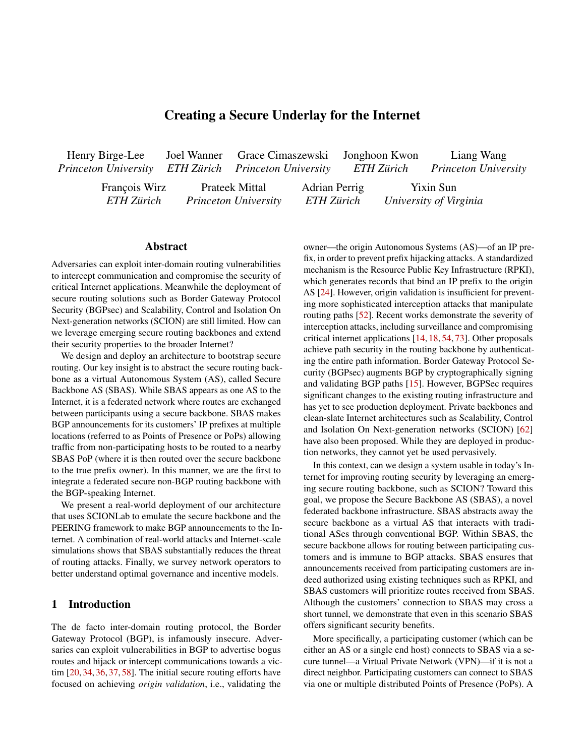

Figure 6: Difference between SCIONLab and Internet latency Figure 7: Difference of SBAS versus Internet latency between between all pairs of PoPs. A negative difference indicates customers. The individual latency measurements (before comthat SCIONLab achieves better latency than the Internet. The puting the difference) have an overall mean of 154ms. individual latency measurements (before computing the dif-

ference) have an overall mean of 149ms.

mance, we ran one round of the latency measurement between all pairs of customer machines in our testbed every hour over

fering a choice between multiple paths, SCION enables ap-the span of two weeks (336 rounds in total). In each round, plications to choose optimal paths based on various metrics, we ran ping 30 times with a one-second interval and comwhereas BGP by design always selects a single path between puted the averaged latency of ping packets. We picked three eachhsource, destinationpair (which in many cases could result in sub-optimal latency [47]). customer locations across multiple continents and chose the closest PoP as the ingress for each customer. Therefore, these

We measure latency between all pairs of PoPs across bothmeasurements are expected to compare less favorably to the SCIONLab (used in our SBAS deployment) and the Internet. Internet baseline than the latency over SBAS, as traf c may These measurements are compared in Figure 6. For the Intemeed to take a detour from the source over the nearest ingress net latency baseline, we used different measurement method $\mathbf{p}$ oP and from the egress PoP to the destination. The results to simulate real-world traf c, eliminating protocol-speci c shown in Figure 7 con rm this hypothesis and align with factors: echo requests from the ICMP protocol, and TCP hand-the measured latency from customers in the testbed to the shakes. The SBAS latency is measured over SCION. Notenearest PoP, which is displayed in Tabl**©**n average, endthat, although the same packet generator is used for the Into-end latency over SBAS is approximately 17 ms higher ternet latency and SBAS latency measurements, in SBAS it than over the Internet. The end-to-end differences between appears to the data center network as generic UDP traf c to SBAS and the Internet are relatively minor when the large locally deliver SCION packets. We observed that the latency intercontinental latencies are taken into account: for instance, is consistently lower when measured using ICMP as opposedlatency between Zurich and Osaka has a mea $24$ **d**fms to the TCP-based measurements. Following the methodologyover the Internet an@59 msover SBAS, which amounts to a of Kwon et al. [47], we use TCP as the point of comparison relative increase of less thar5%. for SCION latency. In some scenarios, the latency improvements offered by

The results in Figure  $6$  show th $$CIONLab$  achieves lower latency across PoP nodes than the Internet for approximately 60% of the measurements despite consisting largely of overlay links. The improvement stems from the sophisticated path control that SCION provides; SCION can Tokyo-Seattle-Frankfurt). This indicates the potential for improved latency using an inter-domain routing architecture like

SCIONLab even enable end-to-end connections to achieve better latency than the Internet. The large variance in this difference over time can be attributed to the instability of BGP routes, which change frequently over time. By using an expanded network of PoPs (reducing the la-

steer packets through latency-optimized paths (e.g., Tokyo<sup>tency</sup> from Table 1) as well as dedicated SCION links in the Singapore-Frankfurt) while BGP selects a detour path (e.g., backbone network (as mentioned in the previous section), SBAS's end-to-end latency can be improved further.

SCION, which is able to leverage its advantage even in this 6.3 setting with relatively few path choices, and can compensate<sub>Several</sub> aspects of SBAS's design enable it to scale to a large,

for the overhead of tunneling to create overlay links.

# 6.2 End-to-End Latency

Discussion: Scalability

real-world deployment. The bandwidth and compute-memory expense of SBAS is roughly proportional to the number of its clients. The PoP module (which includes the WireGuard tunnel, SIG, and routing logic) maintains no per-ow state.

The nal latency experiment evaluates the performance Adding a client to SBAS involves only adding a few internal achieved for end-to-end connections between two customerrouting table entries and the client's IP/VPN key to the PoP hosts that communicate across SBAS. To evaluate this perforWireGuard con guration. SBAS capacity can be scaled to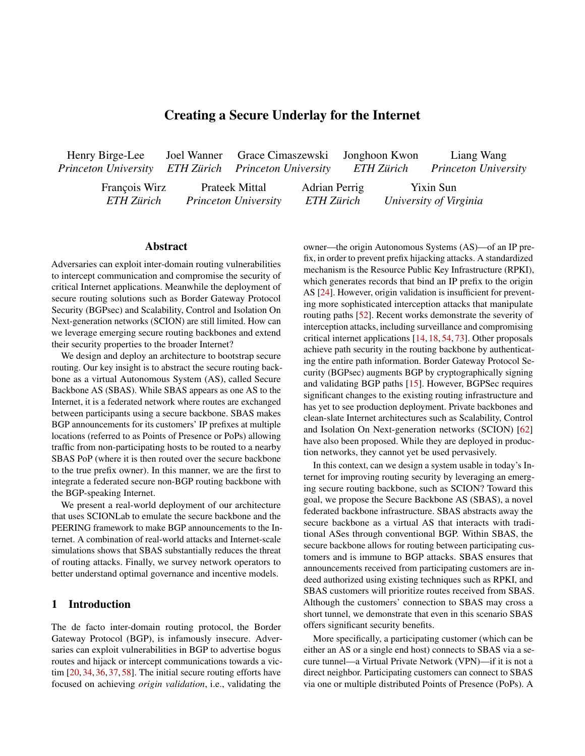| Customer      | PoP       | Latency ms |
|---------------|-----------|------------|
| Zurich        | Frankfurt | 1236       |
| N. California | Oregon    | 2588       |
| Osaka         | Tokyo     | 175        |

| Attack target  | No SBAS   | <b>Using SBAS</b> |
|----------------|-----------|-------------------|
| utah01 pre x   | Failed    | Failed            |
| grnet01 pre x  | Succeeded | Failed            |
| utah01 tunnel  | N/A       | Failed            |
| grnet01 tunnel | N/A       | Failed            |

Table 1: Latency from customers to the respective closest PoP.

Table 2: Summary of ethically conducted real-world attack experiments (via PEERING) from an adversary at neu01.

serve additional customers by increasing the computational capacity of the PoPs and increasing the bandwidth of the secure internal inter-PoP network. Key management and ex<sup>two</sup> PEERING locations (known anuxe\$ to act as SBAS change between PoPs is handled by SCION, which improvescustomers. One customer location was the mux utah01 located upon RPKI scalability by delegating trust roots and key man- at the University of Utah. The other one was the mux grnet01 agement to a limited number of isolation domains [62].

We recognize that the growing size of Internet routing tables is a present concern [11]. Although SBAS infrastructure serve as an adversary and launch BGP attacks. announces /24 pre-xes (or /48 for IPv6 infrastructure, the longest publicly routable pre x in IPv6 [9]) for sub-pre x hijack protection, the number of such announcements is overallnouncements for pre xes that we are authorized to use. Even few and proportional to the number of SBAS POPs combined though we used the neu01 mux as an adversary to model our with the number of connected customer ASes (as each PoPattacks, it had proper authorization from the PEERING frameor customer needs one pre x for their WireGuard endpoint). work for all of its BGP announcements. Further, we used IP While SBAS customers are encouraged to use /24 length-pre xes explicitly delegated to our infrastructure (from PEERpre xes (for select security-critical services), SBAS does not ING and participating educational institutions) that hosted no disaggregate customer announcements. Ethical considerations.An important ethical principle un-

## 7 Security Analysis

We used two primary methods to evaluate the security of non-adaptive attacks that target customer pre xes as well as SBAS: (1) real-world attacks using the PEERING BGP re-adaptive attacks that target customer tunnels to the SBAS search framework [69], and (2) simulated attacks using In-PoPs. Moreover, SBAS can even enhance communication ternet topology simulations [33]. These two methods are in-security between a SBAS customer and external hosts on the tended to complement each other. The PEERING framework Internet. Table 2 depicts a summary of our results. allows us to launch ethical BGP attacks against the real SBAS Control case: Successful attack without SBAS.We prototype deployment and accurately captures the dynamicsstarted with a control case where SBAS was not used and of Internet routing, but does not let us experiment with many the customers in utah01 and grnet01 announced their pre-xes different adversary locations (as we are limited by the nodes via their traditional BGP providers/peers. The adversary node of the PEERING framework). Topology simulations allow at neu01 then attempted to hijack communication between the us to experiment with a large number of adversary locations two customers by announcing utah01's pre x and grnet01's but yield less accurate results [41]. However, when consid-pre x. We found that while traf c from grnet01 to utah01 ered side-by-side, the results of these two types of evaluationswas routed successfully to utah0ngf c from utah01 to complement each other, allowing for a more accurate under-grnet01 was routed to the adversaryThis let the adversary standing of the security of SBAS. Our experiments validate that SBAS can mitigate both observe (and potentially modify) packets sent from utah01 to

through disaggregated IP pre xes, which we use for all SBAS- adversary to the one it had to the victim. related addresses. We do additionally consider more-speci c Attack mitigation using SBAS. Next, we connected the pre x attacks in Section 7.1.

# 7.1 Evaluating SBAS Deployment Against Ethical Real-World BGP Attacks

located in the Greek education and research network GRNET. Next, we used the mux neu01 at North Eastern University to

derlying our experiment setup is that we only made BGP anproduction services and served no real users. Finally, we also followed the PEERING framework's acceptable use policy as to not overwhelm or crash internet routers.

Recall from the threat model (Section 3.2) that we focus our grnet01. Thus, the connection between utah01 and grnet01 evaluation on equally-speci c pre x attacks because more- was successfully attacked by the adversary in the absence speci c pre x attacks can be avoided by providing services of SBAS because utah01 had a superior BGP route to the

utah01 and grnet01 customers to the prototype SBAS implementation using the Oregon and Frankfurt SBAS PoPs respectively. We then had utah01 and grnet01 make the announcements for their IP pre xes through SBAS. Recall that at each customer node, SBAS-learned routes are given higher

We launched real-world BGP attacks against our SBAS de-priority (Section 4.5) than standard Internet routes. We conployment using the PEERING framework. First, we set up sider two types of adversaries: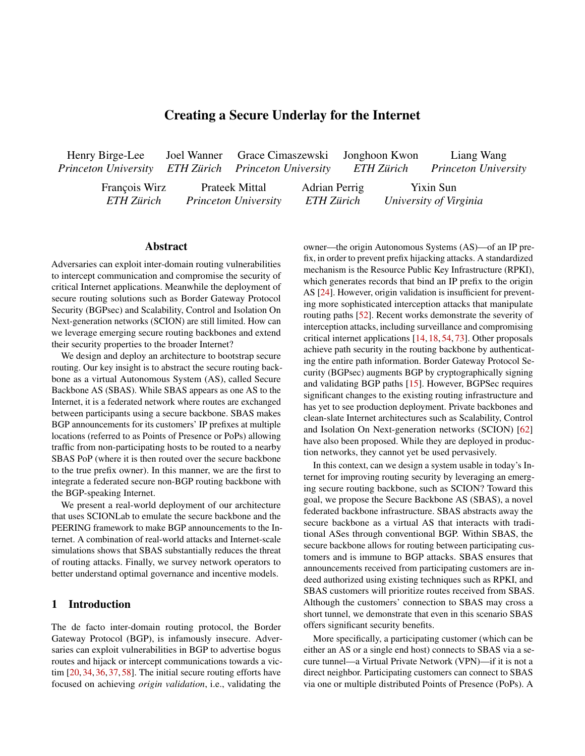Non-adaptive adversary. he non-adaptive adversary is not et al. [20]. We constructed a sample of 1k IP addresses from aware of SBAS and launches BGP attacks against customersthe Censys Internet-wide IPv4 scans [31] to serve as external IP pre xes as usual, as in the control case. Because bothhosts. The sample was chosen at random and Itered to only utah01 and grnet01 were communicating through SBAS, include hosts that responded to ICMP echo (ping) requests.

adversary was incapable of hijacking any of the traf-c between grnet01 and utah01n either direction of communication. Note that this result is independent of customer or ical equally-speci c pre x hijacks from the adversary neu01 adversary location. Two customers will always successfully against IP pre xes originated by utah01 and grnet01 and anresist BGP attacks where an adversary targets a customer's nounced by SBAS (using nodes at amsterdam01 and seat-IP pre x announced through SBAS. This is due to route pri- tle01). Similarly, we also performed ethical hijacks where no oritization and holds even in the case of more-speci c BGP SBAS was used as the control case. Then, for each hijack, attacks. SBAS PoPs load secure routes into a separate routingve launched a ping scan of the 1k external hosts in our samtable that is given higher priority than the Internet routing ta-ple from an IP address in the pre-x that was being hijacked. ble. SBAS customers' outbound traf c will always go through When each host in the sample received the ping request, it the connected SBAS PoPs. More-speci c routes in the global generated a ping response with a destination IP address that routing table do not affect routes between SBAS customers. was under attack by the adversary. Computing the fraction

Adaptive adversary an adaptive adversary who is aware of hosts whose ping responses were routed to the adversary of SBAS may instead chose to attack the tunnels that each allowed us to measure the impact of each hijack we launched. customer uses to communicate with SBAS. While this adap- SBAS signi cantly enhances communication security with tive attack is inherently less devastating because tunnels aræxternal hostsWhen the utah01 and grnet01 nodes were end-to-end encrypted, there are still powerful attacks that can not using SBAS, the adversary at neu01 was able to hijack be launched against encrypted traf c [59,73]. traf c from 72% and 76% of the 1k external hosts respec-

attack the IP pre xes used by utah01 and grnet01 to establishlaunched an attack on the SBAS announced-pr**t**he,advertheir WireGuard sessions with SBA $\mathcal{F}$ ven when the adversary maliciously announced the IP pre x of the WireGuard endpoint of both victims with an equally-speci c BGP attack,communication between utah01 and grnet01 was uninterrupted and was never routed to the adversary.Note VPN endpoint, are required to b24s; more-speci c attacks against SBAS VPN endpoints are not viable.

Using our PEERING setup, we had the adversary at neu01tively. When we connected utah01 and grnet01 to SBAS and that SBAS infrastructure pre xes, like the one used for the are actively working to expand this deployment, and present sary's hijacking capability reduced threefold to affecting only 25% of hosts.We emphasize that the presented security improvements are conservative, as this experiment was performed against the SBAS prototype deployment that uses only the seattle01 and amsterdam01 PEERING muxes. We recommended expansion steps and the associated security improvement in Section 7.2.1. As more nodes are added, hosts

To measure the impact of SBAS on communication between a SBAS customer and external hosts, we performed eth-

We note that the success of this type of adaptive adversarywill have a shorter route to the nearest SBAS PoP which will against SBAS depends highly on the customer's choice of further reduce the spread of the adversary's attacks. ingress points. As a contrived example, had utah01 chosen the

Frankfurt SBAS PoP as its ingress point and grnet01 chosen7.2 Oregon as its ingress point, communication along both of the tunnels would have been routed to the adversary. It is because

of the proximity of the SBAS ingress point to the SBAS customer (relative to the adversary's location) that SBAS offers improved security even against this type of adaptive adversary. In the optimal case, a customer may even be abl $e$ AIDA AS topology dataset [1], augmented with peering to obtain a direct layer-2 connection with a PoP, thwarting this attack entirely. information inferred from the bdrmap tool [51] and BGP Routing Information Base (RIB) data collected from Route

Characterizing communication security with external curity of communication between SBAS customers in utah01 and grnet01, we evaluated the security bene t that SBAS offers when a SBAS customer is communicating with an non-SBAS-protected (i.e., external) host or server on the Inter-traf c from external sources will still be routed to SBAS (via

## 7.2 Quantifying Hijack Resilience via BGP Attack Simulations

To evaluate SBAS security beyond PEERING mux adversaries and client locations, we employ Internet-scale attack simulations. The Internet topology was constructed using the

hosts. In addition to running experiments to measure the se-lection at the AWS datacenters and PEERING nodes that are net. We build upon the methodology presented by Birge-Lee <sub>the</sub> PEERING framework) in the event of an equally-speci c Views [68] and RIPE NCC RIS [2] to correctly model route separt of the SBAS deployment. We build upon the methodology developed by Birge-Lee et al. [19] to perform pre x-level (as opposed to AS-level) simulations. We evaluate how likely

BGP attack. We also explore how security improves with more BGP-announcing SBAS nodes and with full deployment of RPKI in the broader internet.

 $1$ Another attack can be launched by hijacking the IP pre x of the SBAS PoPs for their WireGuard endpoint. We could not conduct this in the wild, as we were not authorized to hijack the SBAS PoPs' AWS-controlled pre x.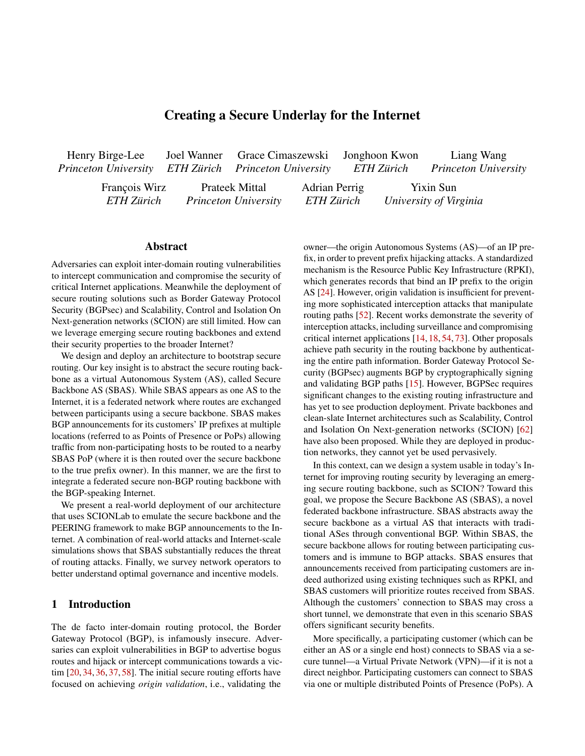

(randomized) AS-level adversary.

Computing attack resilience metric.We use the notion of resilience[79] to quantify the fraction of total potential adversaries that are topologically unable to launch an equally-and ISI yielded a resilience **@t**750, a37:2% improvement speci c pre x hijacking attack for an arbitrary pre x announced by a victim AS. The detailed de nition of resilience is in Appendix B. Resilience is affected by the relative lo- further increased median resilience 0o825, a 50:9% measures, including RPKI.

Internet topology simulations. We run BGP simulations against an AS-level adversary considering a random sam-

ple of 1k adversary ASes as the attacker **A** set orresponding to approximatelyl:39% of the N = 71669ASes pro-led in sider all otherN 1 ASes as the set of external hosts (traf c ti ed as serial hijacking offenders in prior work [74]. This a victim pre x is announced via SBAS BGP announcement attacker AS. NotablySBAS improved resilience against all nodes; (2) a victim pre x is announced in a conventional 11 of the known serial hijacker ASes, with a median remanner without SBAS. We consider a random sample of 1k silience improvement of 64.9% using a con guration of 6 When varying the number of BGP-speaking SBAS nodes, we included in Appendix B.) present results for con-gurations (node locations) that are

globally optimal (more details in Appendix B).

#### 7.2.1 SBAS Signi cantly Enhances Resilience Across Adversary ASes and Customer Locations

We analyze the distribution of pre x-level resilience of routes Origin Validation using RPKI) in the broader (non-SBAS) announced by SBAS against sampled AS-level adversarieshternet. Recall that ROV makes equally-speci c hijacks less performing BGP hijack attacks and compare them to the likely to succeed by verifying the route's origin AS: an atscenario where SBAS is not used (Figure 8). Our results tacker thus needs to prepend itself to a route originating from show that SBAS deployment signi cantly improves routing the valid RPKI-signed AS, which increases the attacker's path security across adversary ASes and customer locations everlength by one. We repeat the prior simulation setup with the with a small number of BGP announcement nodes. Increasingaddition of ROV in the broader internet to evaluate the exthe number of announcement nodes in the SBAS backbonetent of resilience improvement provided by a combination of further enhances security. SBAS and ROV (see Figure 9).

Figure  $8$  shows that conservative deployment of SBAS with just 5–6 BGP announcement nodes can lead to



Figure 8: Cumulative distribution of SBAS resilience against Figure 9: Cumulative distribution of SBAS resilience against (randomized) AS-level adversary, assuming adoption of ROV.

cations of the victim and adversary ASes, their peering and improvement. Additional announcement nodes provide provider relationships, and the application of further security diminishing security returns: a fth node at UWashington, more than a 60% improvement in median resilience A three-node SBAS with announcements at Amsterdam, Seattle, compared to the baseline median resilience  $645$  (without SBAS). Including another announcement node at GRNet to 0:870 (59:3% improvement), and nally a sixth node at GATech, to 0884 (618% improvement).

the CAIDA AS topology. Against each attacker AS, we con- threat of BGP attacks launched by a sample of 11 ASes idensources)B. Given these xed sets of adversary ASes and smaller sample of attackers allows us to plot resilience for external hosts, we run BGP simulations for two scenarios: (1) SBAS customers communicating with external hosts for each victim pre xes, which are selected based on the methodol-BGP announcement nodes. For the most devastating adverogy in Section 7.1. We evaluate SBAS con gurations with sary, AS 9009, the 6-node SBAS produced a median resilience varying number and location of BGP announcement nodes.gain of 6026%. (Plotted results and further discussion are Resilience improvements against known serial hijacking attack ASes.As an illustrative case study, we examine the

#### 7.2.2 ROV Enforcement in the Broader Internet Can Further Boost Resilience Offered by SBAS

We further examine the extent of SBAS's potential security improvements by considering the adoption of ROV (Route

> We useROV-aidedo refer to the scenario in which ROV is deployed by the broader internet. ROV substantially improves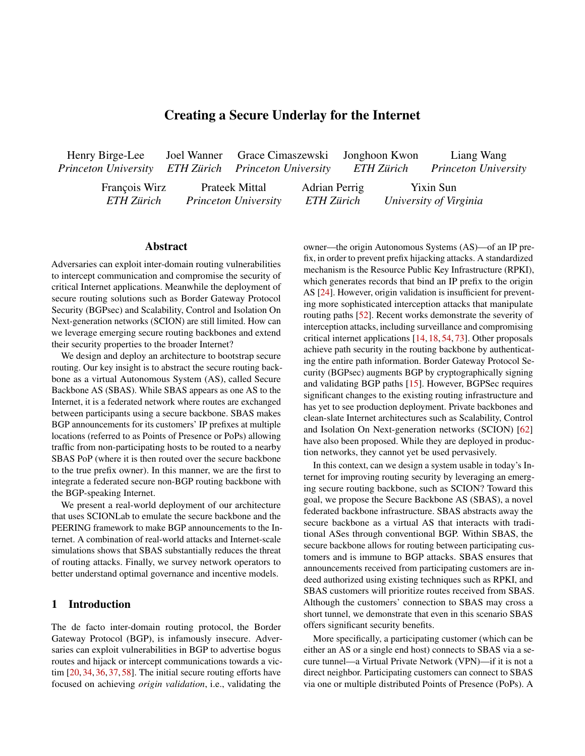resilience offered by SBAS: on average, ROV-aided SBAS deployment increased median resilience over its non-ROV counterpart by 45.0%. For example, a ROV-aided SBAS deployment with 3 announcement nodes improves ease of implementation translates to lower transition costs for median resilience up to 0.898, a 35.7% improvement com-customers and more rapid experimentation under real-world pared to the baseline resilience of 0.661 without SBAS. Sim-traf c ow conditions. of reliable, off-the-shelf networking components (BGP, iBGP, and secure tunnels) reduces most of the effort required to implement and maintain custom routing modules. This relative

ilarly, a ROV-aided SBAS deployment with 6 announcement nodes improves resilience to 0.985 (a 49.0% improvement), meaning 98.5% of adversaries were topologically incapable of hijacking SBAS-announced routes.

## 8 Incentives and Governance

Beyond the setup of the technical SBAS components, adop four different governance models that all received support in tion of SBAS would require coordination between participat- our survey, presented in the order of their degree of centraling ISPs, formation of organizations to handle governance, ization and reliance on existing structures.

and presenting/marketing SBAS to customers. To better un-Scenario 1: ICANN and regional Internet registries. derstand network operator's SBAS deployment incentives The regional Internet registries (RIRs) already play a major and preference for governance models, we have conductedole in coordinating the control plane of the Internet, e.g., by a survey. In Sections 8.1 and 8.2, we discuss incentives andallocating IP ranges, AS numbers, and providing hosted RPKI possible models of governance for an SBAS deployment, fol-services. They would therefore be natural entities to govern lowed by a discussion of survey results in Section 8.3.

8.1 Deployment Incentives

Current market trends demonstrate demand for reliable and<sub>the RIRs</sub> do not cover operation of network infrastructure. Opsecure Internet connectivity. SD-WAN, leased lines, and erating SBAS would be orthogonal to other efforts by RIRs Network-as-a-service products speci cally designed to mitito improve routing security.

gate routing outages have seen widespread adoption for busi-Scenario 2: Multi-stakeholder organization.Under this nesses in various sectors [4]. The willingness to purchase<sub>governance model, a foundation involving interested parties</sub> these services despite substantial costs indicates that cusuch as ISPs and companies would run SBAS. This would tomers are willing to pay a premium to protect against routing- provide the bene t of creating an entity with a clear scope of induced network outages. A candidate rst customer may have duties with regards to SBAS, entirely dedicated to guarantee incentives for SBAS's security properties that outweigh the the smooth operation of SBAS, and which could also receive dif-culties inevitable in early-stage technology deployment, similar to the initial customer of the SCION network [45]. The added cost of deploying SBAS is marginal if the infrastructure already supports SCION connectivity (currently natively supported by 10 ISPs), but the additional customer base that<sub>to</sub> join (some of) their resources in SBAS, through a loose cocan be reached can provide major nancial bene ts. Our evaldedicated contributions towards that effort. On the other hand, this would require new structures to be set up. Scenario 3: Federation of network providers.A governance model relying on the initiative of ISPs working together ordination at the technical level between the involved parties,

uation in Section 7.2 has shown that 5 SBAS PoPs can already<sub>building</sub> on letters of intent and bilateral agreements. In this provide immediate security bene ts to the rst customer. The current SCION-supporting ISPs would thus suf ce for bootstrapping SBAS.

We believe SBAS's lightweight implementation will also help it gain early adoption. Several survey responses (Sec<sub>operator can join SBAS independently, in the same manner as</sub> tion 8.3) emphasize the necessity for interoperability with current routing hardware and protocols, with minimum effect on operational robustness as requisite for industry adoption <sub>POP</sub> operators, with low barriers to entry for new operators. of any new routing security solution. Compared to BGPsec However the continuity of operation of a suf cient number of and other proposed clean-slate routing protocols, SBAS use $\phi$ <sub>OPs</sub> is not guaranteed, and sharing scarce resources such as commodity network hardware and does not suffer from all-IP address space and AS numbers would be challenging. or-nothing deployment security improvements. BBAS's use driving the adoption of the initiative. Scenario 4: Decentralized governance mode Each PoP there is no centralized instance governing which TOR nodes can join the network [65]. This model is most exible for

# incrementally deployable, it requires every hop in the routing path to sign its

governance model, the network effect is less noticeable and the early participants would bear the bulk of the burden of

8.2 Governance Models

Due to the federated nature of the SBAS PoP operation, a governance structure is needed to coordinate global operation (e.g., AS management, RPKI ROA distribution, and coordination of secure and internal address ranges). We present

a shared AS number for SBAS. Such a governance model would also bene t from the strong ties between the RIRs and the network providers. However, albeit they provide coordination activities and services to their members [6,10,13,48,67],

<sup>&</sup>lt;sup>2</sup>Although the BGPsec signature validation implementation itself can be path segments to achieve the desired security properties.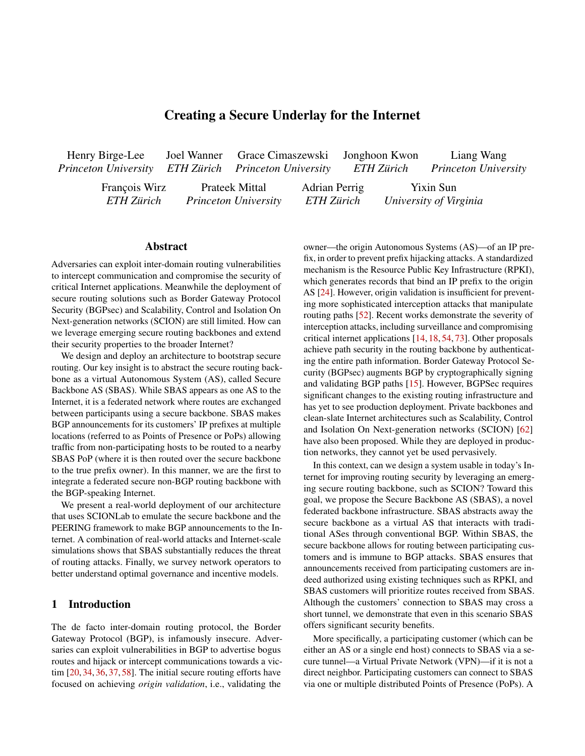Governance model recommendation Based on the results of our survey (presented in Section 8.3) and the structurerouting attacks. The chief concerns for deployment cited were of SBAS, we suggest the federation of network providers. Not mostly related to logistics, such as establishing inter-ISP iBGP only did this structure receive the most votes in our survey, sessions and several ISPs sharing an ASN in the routing sysbut it has the bene t of placing the governance decisions in tem. While this is a minority of survey participants, it (1) the hands of ISPs, who are the ones responsible for runningrepresents 53% of operators who felt secure routing was a SBAS PoPs and carrying SBAS traf c. Furthermore, it does marketable productand (2) shows there is a non-trivial group not require the involvement of any overly powerful or cen-of convinced, interested early-adopters that would enable subtralized organization, which many operators in our survey stantial security improvements through SBAS. Even with a expressed concerns over. While issues like IP, domain, and ew early adopters, communication between SBAS partici-ASN allocation inherently involve distribution of a shared pants and the broader Internet achieves substantially higher resource, governance of SBAS (which operates out of SCION resilience (e.g., 5 PoPs in Section 7.2). and IP address already controlled by participants) primarily Among the governance models, the federated model was involves technical and policy coordination that can be done in chosen by 14 participants (45%) as the most popular potena more decentralized manner. We feel that in the same way thetial governance structure, followed by delegating responsibili-MANRS project [53] has been successful in bringing together ties over to the RIRs (35%), a decentralized model (13%), and ISPs to standardize routing security practices, a federation a multi-stakeholder organization (7%). Several respondents of ISPs could also be successful in standardizing SBAS op-stressed the importance of selecting a structure that would not erational practices. Additionally, in a real-world operation be dominated by large corporations and with mechanisms to of SBAS, the federation of providers may establish an asso-prevent it from growing beyond its needed scope. ciation or foundation to create a more concrete structure to govern, organize, and enforce the operation of all participants required for a production deployment of SBAS. We encour-(incorporating structures of Scenario 2). and a mean score of 4.6 on the effectiveness of SBAS against By surveying network operators, we see some next steps

age network operators and the research community to work collaboratively to establish SBAS as a production network.

## 8.3 Survey of Network Operators

Survey participants were recruited through direct contact, and 9 through the RIPE and NANOG mailing lists [60, 61], gar-**Related Work** 

nering 31 responses. We summarize important results in thisTo improve on the limitations of BGP, various alternatives section, and discusses detailed survey results in Appendix C<sub>have</sub> been suggested, including studies that use overlay tech-Our survey indicates that network security is very important nology to establish new routes [12, 35, 38, 83]. Particularly, to the operations of the majority of ISPs and there is a com-Andersen et al. propose RON (Resilient Overlay Network), munity of early adopters that would be interested in deploying an architecture that constructs an overlay network using dis-SBAS. Speci cally, 26 out of 3184%) participants said, on a scale of zero to ve, that the importance of network security real-time, and constructs new paths [7]. Peter et al. propose to their ISP's operations was either a four or a ve. However, the ARROW architecture, which attens the Internet topology when asked if secure routing was a marketable product, onlyusing overlay tunnels between ISPs, and provides a new route 15 operators (of 31) responded with a four or ve. This gap if needed [63]. Compared to SBAS, ARROW focuses on availin responses can be attributed to the usually assumed networlability and only addresses use cases in which customers are effect problem where a large critical mass of participants is fully participating. Network pluralism articulates the need for needed for substantial security bene ts. In these cases, earlyarchitectural heterogeneity [22,44,76]. Crowcroft et al. introincentives are insuf cient for early stakeholders to undergo duce Plutarch, which describes each homogeneous network the costs of building a new system. This is a major reason why architecture as context and enables communication across a other solutions that require high usages rates to yield security set of contexts by interstitial functions that interpret the encapimprovements fail to see deployment (as is the case with BG-sulated functionalities of each context [29]. Avramopoulos Psec [52]). Even with substantial interest in the community, and Rexford present a security backbone framework connectmany network operators do not see the nancial bene ts of ing various secure routing architectures via a secure mesh of investing in secure routing, creating a self-ful lling prophecy virtual links [16]. Indeed, network pluralism enables the graceof low adoption rates. tributed applications, monitors the underlay routing paths in ful coexistence of diverse network architectures. However,

We proceeded to ask operators to gauge the interest of theirthe approaches simply glue network architectures together, ISP offering SBAS to customers and eight operators rated it assupporting them to onlyurvive In contrast, SBAS not only a four or ve. Furthermore, this group of interested operators bridges secure routing infrastructures to the Internet in a synseemed strongly convinced of the SBAS design: they reported ergistic manner, but also extends the bene-ts to the broader a mean score of 3.75 points on SBAS's deployment feasibility Internet, enhancing them tbrive.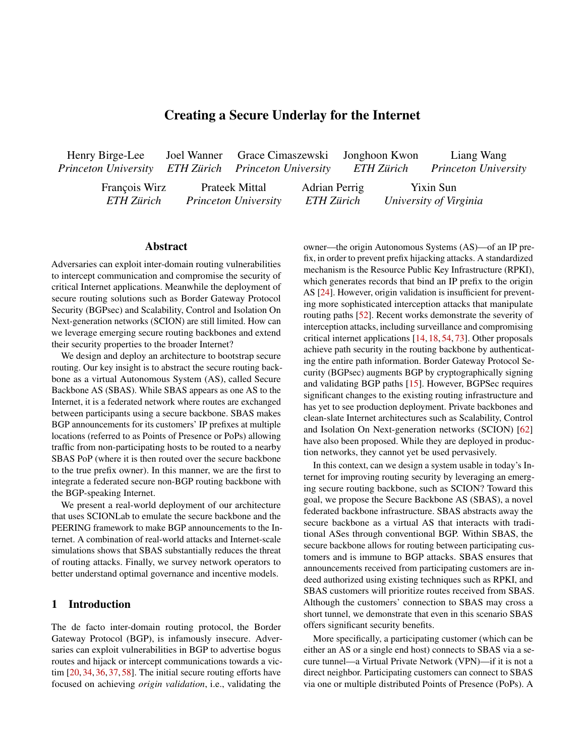# 10 Conclusion

While secure routing enjoyed much attention from the research community over the past two decades, real-world adop- [5] E. Aben. Propagation of Longer-than-/24 IPv4 Pre xbtp tion has been lagging, perhaps due to the signi cant infrastructure changes required. With an ambition to make rapid progress to secure routing, we investigate how to leverage a [6] AFRINIC. AFRINIC Bylaws (Constitution) 2020https: secure communication backbone to secure communication on the regular Internet. We design and deploy an architecture, <sub>[7]</sub> D. Andersen, H. Balakrishnan, F. Kaashoek, and R. Morris. SBAS, in which communication between traditional IP endpoints are mediated via a secure backbone that is operated in a federated manner. SBAS substantially reduces the threat of  $_{[8]}$ inter-domain routing attacks and only incurs a small latency overhead (and as our results show can even speed up some end-to-end connections compared to the Internet). A core contribution of this work is the incentive-compatible design. SBAS does not compete with other secure routing architectures, but instead demonstrates that an existing secure routing[9] APNIC. Why is a /48 the recommended minimum pre x size infrastructure with limited deployment can already bene-t the rest of the Internet. While several challenges still exist when deploying SBAS in a production setting, our survey shows a potential path forward and our experimental results show promise that sizable security improvements can be achieved with even a small set of early adopters. We hope that SBAS [11] APNIC. What will happen when the routing table hits 1024k? revitalizes the quest for secure inter-domain routing.

## Acknowledgements

This work was supported in part by the National Science Foundation under grants CNS-1553437, CNS-1704105, and CNS<sup>[13]</sup> ARIN. Charter for the ARIN Board Governance Working 193596 and by the United States Air Force and DARPA under Contract No. FA8750-19-C-0079. Additionally, we gratefully acknowledge support from ETH Zurich, from the ETH4D and EPFL EssentialTech Centre Humanitarian Action Chal-<sup>[14]</sup> A. Arnbak and S. Goldberg. Loopholes for Circumventing the lenge Grant, and from the Zurich Information Security and Privacy Center (ZISC). We would like to thank the anonymous reviewers and our shepherd Deepak Kumar for their valuable feedback as well as David Hausheer, Nicola Rustignoli, Kyveli Mavromati, and the anonymous participants of our survey for their contributions to this project. Any opinions, ndings and conclusions or recommendations expressed in this material are those of the authors and do not necessarily re ect the views of the United States Air Force, DARPA, or any other sponsoring agency.

# References

- [1] The CAIDA AS relationships datasettttps://www.caida. org/catalog/datasets/as-relationships/ , 2021.
- [2] RIS Raw Data RIPE Network Coordination Centinatios: //www.ripe.net/analyse/internet-measurements/rou ting-information-service-ris/ris-raw-data , 2021.
- [3] The BIRD Internet Routing Daemon Projecttips://bird .network.cz/ , 2021.
- [4] P. 81. The Rise of Network as a Servicetps://www.peri meter81.com/blog/network/the-rise-of-network-asa-service , 2021.
- s://labs.ripe.net/author/emileaben/propagation-o f-longer-than-24-ipv4-prefixes/ , 2014.
- //afrinic.net/bylaws , 2020.
- Resilient Overlay Networks. IACM Symposium on Operating Systems Principles (SOSP) 01.
- [8] T. Anderson, K. Birman, R. Broberg, M. Caesar, D. Comer, C. Cotton, M. J. Freedman, A. Haeberlen, Z. G. Ives, A. Krishnamurthy, W. Lehr, B. T. Loo, D. Mazières, J. M. Nicolosi, Antonio Smith, I. Stoica, R. v. Renesse, M. Wal sh, H. Weatherspoon, and C. S. Yoo. The Nebula Future Internet Architecture. In The Future Internet Assemblo 013.
- for routing?https://blog.apnic.net/2020/06/01/whyis-a-48-the-recommended-minimum-prefix-size-fo r-routing/ , 2020.
- APNIC. Policy SIG.https://www.apnic.net/communit y/policy/policy-sig/ , 2021.
- https://blog.apnic.net/2021/03/03/what-will-ha ppen-when-the-routing-table-hits-1024k/ , 2021.
- [12] M. Apostolaki, G. Marti, J. Müller, and L. Vanbever. SABRE: Protecting Bitcoin against Routing Attacks. Network and Distributed System Security Symposium (NDSS)9.
	- Group.https://www.arin.net/about/welcome/board/c ommittees/charters/#charter-for-the-arin-boardgovernance-working-group , 2021.
	- Constitution: Unrestricted Bulk Surveillance on Americans by Collecting Network Traf c Abroad.Michigan Telecommunications & Technology Law Revie 21:317, 2014.
	- R. Austein, S. Bellovin, R. Housley, S. Kent, W. Kumari, D. Montgomery, C. Morrow, S. Murphy, K. Patel, J. Scudder, S. Weiler, M. Lepinski, and K. Sriram. BGPsec Protocol Speci-cation. RFC 8205, 2017.
	- I. Avramopoulos and J. Rexford. A Pluralist Approach to Interdomain Communication Security. Workshop on the Economics of Networks, Systems and Computation (NetEcon) 2007.
- [17] AWS. Bring your own IP addresses (BYOIP) in Amazon EC2. https://docs.aws.amazon.com/AWSEC2/latest/UserGu ide/ec2-byoip.html , 2021.
- [18] H. Birge-Lee, Y. Sun, A. Edmundson, J. Rexford, and P. Mittal. Bamboozling Certi cate Authorities with BGP. IUSENIX Security Symposium2018.
- [19] H. Birge-Lee, L. Wang, D. McCarney, R. Shoemaker, J. Rexford, and P. Mittal. Experiences Deploying Multi-Vantage-Point Domain Validation at Let's Encrypt. IdSENIX Security Symposium2021.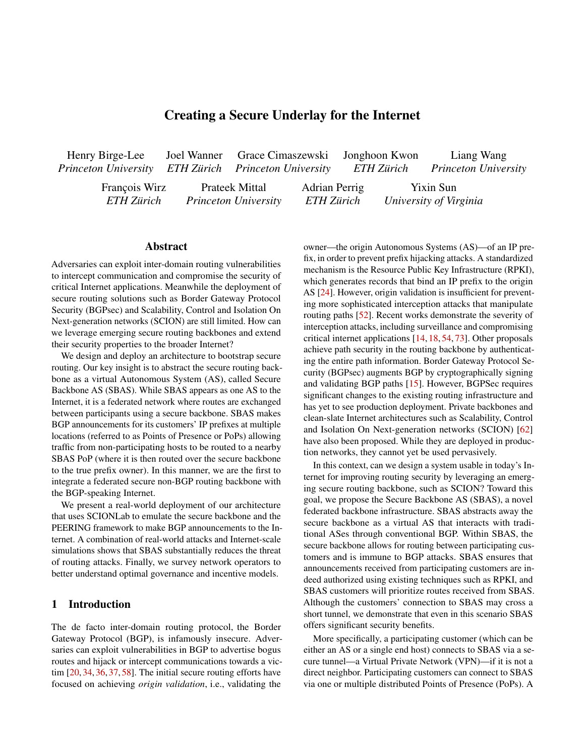- cal Interception Attacks by Manipulating BGP Communities. In ACM SIGSAC Conference on Computer and Communications Security (CCS2019.
- [21] L. Blunk, M. Karir, and C. Labovitz. Multi-threaded routing toolkit (mrt) routing information export format. RFC 6396, RFC Editor, October 2011.
- [22] G. Bouabene, C. Jelger, C. Tschudin, S. Schmid, A. Keller, and M. May. The Autonomic Network Architecture (ANA)EEE Journal on Selected Areas in Communications (1):4-14, 2009.
- [23] R. Brandom. Hackers Emptied Ethereum Wallets by Breaking the Basic Infrastructure of the Internet. The Verge, 2018.
- [24] R. Bush and R. Austein. The Resource Public Key Infrastructure (RPKI) to Router Protocol. RFC 6810, 2013.
- [25] K. Butler, T. R. Farley, P. McDaniel, and J. Rexford. A Survey of BGP Security Issues and Solution **B**roceedings of the IEEE, 98(1):100–122, 2009.
- [26] J. M. Camacho, A. García-Martínez, M. Bagnulo, and F. Valera. [44] T. Koponen, S. Shenker, H. Balakrishnan, N. Feamster, BGP-XM: BGP Extended Multipath for Transit Autonomous Systems.Computer Networks57(4):954-975, 2013.
- [27] Cloud are. Argo Smart Routinghttps://www.cloudflare .com/products/argo-smart-routing/ , 2021.
- starting BGP Security with Path-End Validation. ACM SIGCOMM Conference 2016.
- [29] J. Crowcroft, S. Hand, R. Mortier, T. Roscoe, and A. War eld. Plutarch: An Argument for Network PluralismACM SIG-COMM Computer Communication Review (CCB3(4):258-266, 2003.
- [30] DPDK Project. Data Plane Development Khittips://dpdk .org .
- [31] Z. Durumeric, D. Adrian, A. Mirian, M. Bailey, and J. A. Halderman. A Search Engine Backed by Internet-Wide Scanning. In ACM Conference on Computer and Communications Security (CCS), 2015.
- [32] W. E. Forum. Footprints on the path: how routing data could reduce the Internet's carbon to https://www.weforum.or g/agenda/2021/03/internet-carbon-emissions-datapath-scion/ , 2021.
- [33] L. Gao and J. Rexford. Stable Internet Routing without Global Coordination IEEE/ACM Transactions on Networking 9(6):681–692, 2001.
- [34] A. Gavrichenkov. Breaking HTTPS with BGP Hijacking. Black Hat, 2015.
- [35] P. B. Godfrey, I. Ganichev, S. Shenker, and I. Stoica. Pathlet Routing.ACM SIGCOMM Computer Communication Review (CCR), 39(4):111–122, 2009.
- [36] S. Goldberg, M. Schapira, P. Hummon, and J. Rexford. How Secure are Secure Interdomain Routing ProtocalSM SIG-COMM Computer Communication Review (CCRO(4):87-98, 2010.
- [37] D. Goodin. How 3ve's BGP Hijackers Eluded the Internet and Made \$29M. Ars Technica, 2018.
- [20] H. Birge-Lee, L. Wang, J. Rexford, and P. Mittal. SICO: Surgi-[38] P. K. Gummadi, H. V. Madhyastha, S. D. Gribble, H. M. Levy, and D. Wetherall. Improving the Reliability of Internet Paths with One-hop Source Routing. IdSENIX Symposium on Operating Systems Design and Implementation (OSDD04.
	- [39] S. Hanks, T. Li, D. Farinacci, and P. Traina. Generic Routing Encapsulation (GRE). RFC 1701, 1994.
	- [40] G. Huston. CIDR REPORT for 31 Jan 22ttps://www.ci dr-report.org/as2.0/ , 2022.
	- [41] J. Juen, A. Johnson, A. Das, N. Borisov, and M. Caesar. Defending Tor from Network Adversaries: A Case Study of Network Path PredictionProceedings on Privacy Enhancing Technologies, 2015(2):171–187, 2015.
	- [42] J. Karlin, S. Forrest, and J. Rexford. Pretty Good BGP: Improving BGP by Cautiously Adopting Routes. IEEE International Conference on Network Protocols (ICNP006.
	- [43] S. Kent, C. Lynn, and K. Seo. Secure Border Gateway Protocol (S-BGP).IEEE Journal on Selected areas in Communications , 18(4):582–592, 2000.
		- I. Ganichev, A. Ghodsi, P. B. Godfrey, N. McKeown, G. Parulkar, B. Raghavan, J. Rexford, S. Arianfar, and D. Kuptsov. Architecting for InnovationACM SIGCOMM Computer Communication Review (CCR) (3):24-36, 2011.
- [28] A. Cohen, Y. Gilad, A. Herzberg, and M. Schapira. Jump- [45] C. Krähenbühl, S. Tabaeiaghdaei, C. Gloor, J. Kwon, A. Perrig, D. Hausheer, and D. Roos. Deployment and scalability of an inter-domain multi-path routing infrastructure. Proceedings of the International Conference on Emerging Networking EXperiments and Technologies (CoNEXT021.
	- [46] N. Kushman, S. Kandula, D. Katabi, and B. M. Maggs. R-BGP: Staying Connected in a Connected World. Network and Distributed Systems Security Symposium (ND2033)7.
	- [47] J. Kwon, J. A. García-Pardo, M. Legner, F. Wirz, M. Frei, D. Hausheer, and A. Perrig. SCIONLAB: A Next-Generation Internet Testbed. IIEEE International Conference on Network Protocols (ICNP) 2020.
	- [48] LACNIC. Bylaws. https://www.lacnic.net/76/2/lacn ic/bylaws , 2018.
	- [49] M. Lepinski and S. Kent. An Infrastructure to Support Secure Internet Routing. RFC 6480, 2012.
	- [50] Y. Liao, L. Gao, R. Guerin, and Z.-L. Zhang. Reliable Interdomain Routing through Multiple Complementary Routing Processes. IACM Conference on Emerging Networking Experiments and Technologies (CoNEXT008.
	- [51] M. Luckie, A. Dhamdhere, B. Huffaker, D. Clark, and k. claffy. bdrmap: Inference of Borders Between IP NetworksACM Internet Measurement Conference (IM2016.
	- [52] R. Lychev, S. Goldberg, and M. Schapira. BGP Security in Partial Deployment: Is the Juice Worth the Squeeze RGM SIGCOMM Conference 2013.
	- [53] Mutually Agreed Norms for Routing Securityttps://www. manrs.org/ .
	- [54] A. Maria, Z. Aviv, and V. Laurent. Hijacking Bitcoin: Routing Attacks on Cryptocurrencies. IEEE Symposium on Security and Privacy (S&P) 2017.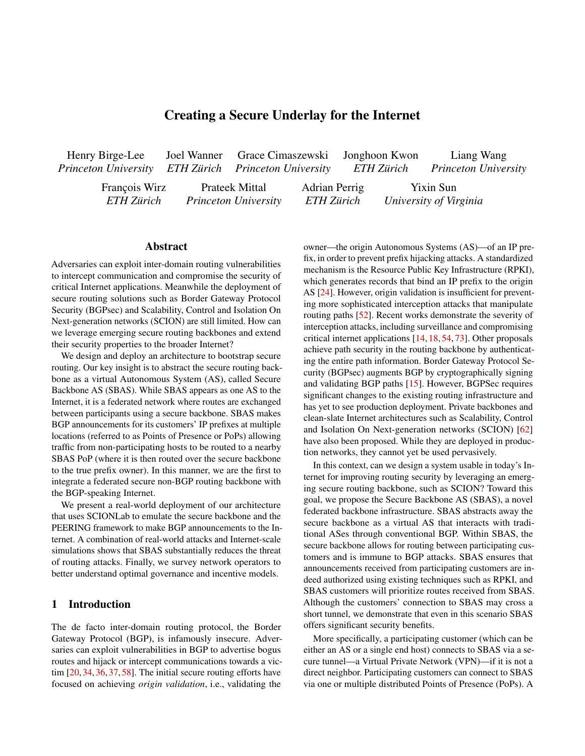- [55] A. Mitseva, A. Panchenko, and T. Engel. The State of Affairs in BGP Security: A Survey of Attacks and Defenses. *Computer Communications*, 124:45–60, 2018.
- [56] M. Motiwala, M. Elmore, N. Feamster, and S. Vempala. Path Splicing. In *ACM SIGCOMM Conference*, 2008.
- [57] D. Naylor, M. K. Mukerjee, P. Agyapong, R. Grandl, R. Kang, M. Machado, S. Brown, C. Doucette, H.-C. Hsiao, D. Han, T. H.-J. Kim, H. Lim, C. Ovon, D. Zhou, S. B. Lee, Y.-H. Lin, C. Stuart, D. Barrett, A. Akella, D. Andersen, J. Byers, L. Dabbish, M. Kaminsky, S. Kiesler, J. Peha, A. Perrig, S. Seshan, M. Sirbu, and P. Steenkiste. XIA: Architecting a More Trustworthy and Evolvable Internet. *ACM SIGCOMM Computer Communication Review (CCR)*, 44(3):50–57, 2014.
- [58] O. Nordström and C. Dovrolis. Beware of BGP Attacks. *ACM SIGCOMM Computer Communication Review (CCR)*, 34(2):1– 8, 2004.
- [59] A. Panchenko, L. Niessen, A. Zinnen, and T. Engel. Website Fingerprinting in Onion Routing based Anonymization Networks. In *ACM Workshop on Privacy in the Electronic Society (WPES)*, 2011.
- [60] A. Perrig. Incrementally deployable secure Internet routing: operator survey. https://seclists.org/nanog/2021/De c/202, 2021. NANOG mailing list.
- [61] A. Perrig. Incrementally deployable secure Internet routing: operator survey. https://www.ripe.net/ripe/mail/arc hives/ripe-list/2021-December/002400.html, 2021. RIPE mailing list.
- [62] A. Perrig, P. Szalachowski, R. M. Reischuk, and L. Chuat. *SCION: A Secure Internet Architecture*. Springer Verlag, 2017.
- [63] S. Peter, U. Javed, Q. Zhang, D. Woos, T. Anderson, and A. Krishnamurthy. One Tunnel is (Often) Enough. *ACM SIGCOMM Computer Communication Review (CCR)*, 44(4):99–110, 2014.
- [64] A. Pilosov and T. Kapela. Stealing the Internet: An Internetscale Man in the Middle Attack. *NANOG 44*, 2008.
- [65] T. T. Project. Relay operations: Technical Setup. https: //community.torproject.org/relay/setup/, 2021.
- [66] J. Rexford and C. Dovrolis. Future Internet Architecture: Clean-slate versus Evolutionary Research. *Communications of the ACM*, 53(9):36–40, 2010.
- [67] RIPE. RIPE NCC Charter. https://www.ripe.net/about -us/what-we-do/ripe-ncc-charter, 2016.
- [68] University of Oregon Route Views Project. http://www.ro uteviews.org/routeviews/.
- [69] B. Schlinker, T. Arnold, I. Cunha, and E. Katz-Bassett. PEER-ING: Virtualizing BGP at the Edge for Research. In *ACM Conference on Emerging Networking Experiments and Technologies (CoNEXT)*, 2019.
- [70] B. Schlinker, K. Zarifis, I. Cunha, N. Feamster, and E. Katz-Bassett. PEERING: An AS for Us. In *ACM Workshop on Hot Topics in Networks (HotNets)*, 2014.
- [71] J. Snijders. Practical everyday BGP filtering with AS\_PATH filters: Peer locking. *NANOG-67*, 2016.
- [72] Y. Sun, M. Apostolaki, H. Birge-Lee, L. Vanbever, J. Rexford, M. Chiang, and P. Mittal. Securing Internet Applications from Routing Attacks. *Communications of the ACM*, 64(6):86–96, 2021.
- [73] Y. Sun, A. Edmundson, L. Vanbever, O. Li, J. Rexford, M. Chiang, and P. Mittal. RAPTOR: Routing Attacks on Privacy in Tor. In *USENIX Security Symposium*, 2015.
- [74] C. Testart, P. Richter, A. King, A. Dainotti, and D. Clark. Profiling BGP Serial Hijackers: Capturing Persistent Misbehavior in the Global Routing Table. In *ACM Internet Measurement Conference (IMC)*, 2019.
- [75] A. Toonk. The Canadian Bitcoin Hijack. https://www.bgpm on.net/the-canadian-bitcoin-hijack/.
- [76] J. S. Turner and D. E. Taylor. Diversifying the Internet. In *IEEE Global Telecommunications Conference (GLOBECOM)*, 2005.
- [77] T. Wan, E. Kranakis, and P. C. van Oorschot. Pretty Secure BGP, psBGP. In *Network and Distributed System Security Symposium (NDSS)*, 2005.
- [78] F. Wang and L. Gao. Path Diversity Aware Interdomain Routing. In *IEEE International Conference on Computer Communications (INFOCOM)*, 2009.
- [79] M. Wübbeling and M. Meier. Improved Calculation of AS Resilience against IP Prefix Hijacking. In *IEEE Conference on Local Computer Networks Workshops (LCN Workshops)*, 2016.
- [80] D. Xu, M. Chiang, and J. Rexford. DEFT: Distributed Exponentially-weighted Flow Splitting. In *IEEE International Conference on Computer Communications (INFOCOM)*, 2007.
- [81] W. Xu and J. Rexford. MIRO: Multi-path Interdomain Routing. In *ACM SIGCOMM Conference*, 2006.
- [82] X. Yang, D. Clark, and A. W. Berger. NIRA: A New Interdomain Routing Architecture. *IEEE/ACM Transactions on Networking*, 15(4):775–788, 2007.
- [83] X. Yang and D. Wetherall. Source Selectable Path Diversity via Routing Deflections. *ACM SIGCOMM Computer Communication Review (CCR)*, 36(4):159–170, 2006.
- [84] X. Zhang, H.-C. Hsiao, G. Hasker, H. Chan, A. Perrig, and D. Andersen. SCION: Scalability, Control, and Isolation On Next-Generation Networks. In *IEEE Symposium on Security and Privacy (S&P)*, 2011.

### A Overhead of SBAS Components at PoPs

In comparison to regular packet forwarding, an SBAS needs to perform some additional computational steps, such as decryption from the customer VPN tunnel and encapsulation to remote PoPs. This first benchmark measures the overhead incurred by the SBAS components on packets passing through a PoP. To obtain an upper bound on this overhead, we consider communication between a pair of customer hosts. This is the most computationally intensive scenario, as traffic is sent through VPN tunnels on both sides.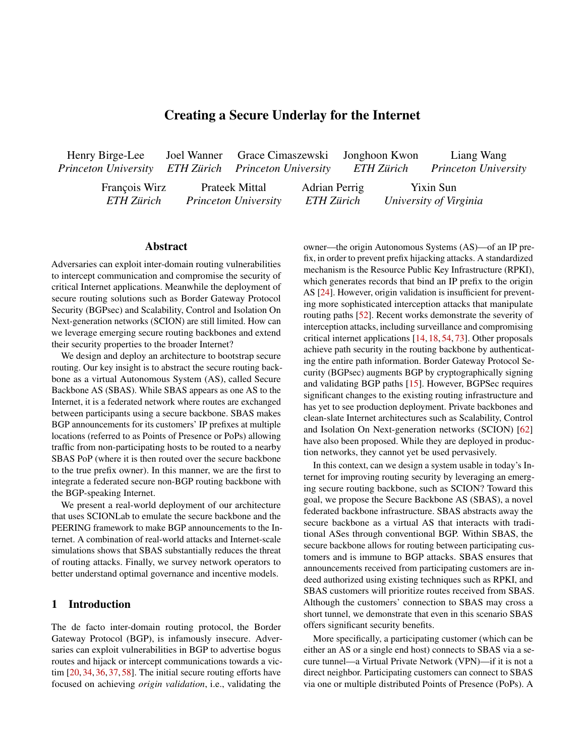<span id="page-16-0"></span>

Figure 10: Overhead incurred by SBAS components at a PoP, measured between the packet arrival from the customer to the sending operation of the SCION packet through SBAS. In the dashed data series, the final SCION step is omitted.

We run ping from the source customer to the destination host with a 1s interval for an hour. The overhead is determined by subtracting timestamps of packets captured at the SIG of the PoP from the corresponding timestamps of the same packets captured at the WireGuard interface (after VPN decapsulation, route selection, encapsulation, and tunneling over SCION). This yields the following results.

The majority of packets have sub-millisecond overhead at PoPs, with a mean of 0.83ms and a standard deviation of 0:27ms. The SBAS component delay is also invariant to packet size: repeated experiments with 1KB packets reported a mean overhead of only 0:75ms. We attribute the tail end of the distribution to operating system factors such as process scheduling and resource contention. Recall that the SBAS components only perform en/decapsulation and routing of packets, exhibiting indistinguishable overhead for different protocols. It is also important to note that, since the current prototype is a software-based implementation, the processing overhead can be further minimized with a production-grade implementation, e.g., using the Data Plane Development Kit (DPDK) [30] or hardware accelerators. diskeled distances, the final SCIOY step is united.<br>
We rem pier provide the source constraints of the distance of the distance of the best and the system of the system of the system of the system of the system of the sys

Figure [10](#page-16-0) summarizes the latency expense incurred by SBAS PoP component in sending a packet through the backbone. Moving from an overlay-based network like SCIONLab to a native SCION network would reduce the SBAS overhead further, as the outermost layer of encapsulation (SCION in IP) would not be required anymore. Moreover, a productiongrade implementation of SCION could be used that performs better than the open-source research prototype. The secondary measurement indicated by the dashed line (which omits the SCION latency) in Figure [10](#page-16-0) provides a lower bound estimate on the potential SBAS backbone latency: approximately 70% of the median 0:74 ms latency can be attributed to SCION latency, suggesting that the overhead of the SBAS-specific infrastructure is in fact relatively light.

Since our technology is applied to inter-domain traffic, this additional latency is negligible relative to the propagation

<span id="page-16-1"></span>

Figure 11: Resilience comparison across known serial hijacker ASes. We mark the maximum resilience gain offered by SBAS for each AS adversary.

the order of 100ms and higher.

## B Additional Simulation Results

**Resilience definition** For a given victim AS  $v \geq V$ , we consider a set of potential adversary ASes *A* along with a set of potential traffic sources *B*. Let us consider an adversary AS *a* 2 *A* which attempts to launch an equally specific-prefix hijack attack against a prefix *p* originated from *v*, and a traffic source  $b \, 2B$  which sends traffic to *p*.

$$
\alpha(v; a; b) = \begin{cases} 1 & \text{if } a \text{ fails to hijack traffic from } b \text{ to } v \\ 0 & \text{otherwise} \end{cases}
$$

In our simulations, selection among equally preferred paths is made via a random tiebreak. Aggregating across the adversary and traffic source sets, we compute a normalized resilience measure for the victim:

$$
\beta(\nu; A; B) = \sum_{a \ge A} \sum_{b \ge B} \frac{\alpha(\nu; a; b)}{jAjjBj}
$$

Intuitively, a resilience of 1 indicates that a node in set *B* attempting to send traffic to a prefix originated by the victim *v* will always route its traffic to the true origin, even in the presence of equal prefix length attacks by the attackers in *A*.

Serial Hijacker Simulation The histogram in Figure [11](#page-16-1) shows the results of the simulation of SBAS's resilience against a set of ASes with a history of serial BGP hijacking attacks (as identified in Section 7.2.1. As previously mentioned, SBAS routes offer higher resilience than the baseline approach for all of the 11 serial hijacking ASes, with a mean resilience improvement of 114:7%. Although this result focuses on a relatively small adversary set, it demonstrates that